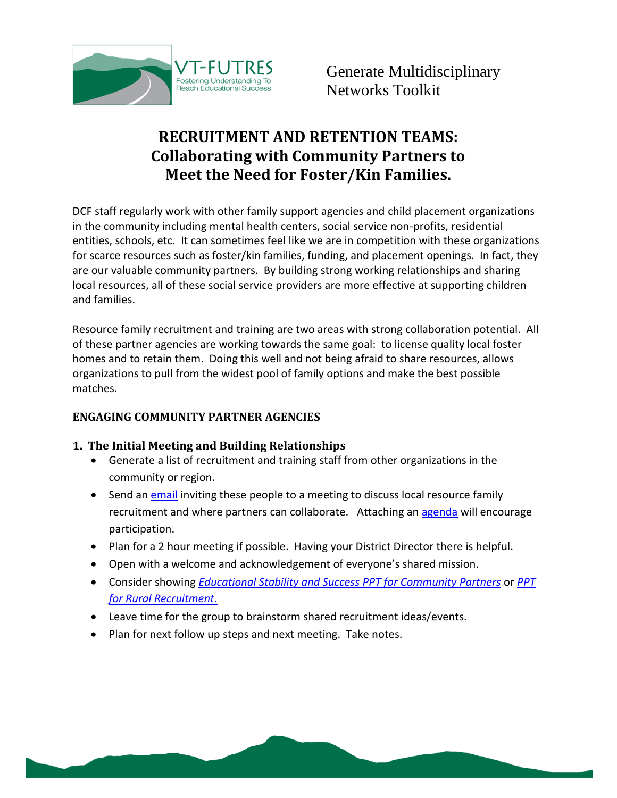

# **RECRUITMENT AND RETENTION TEAMS: Collaborating with Community Partners to Meet the Need for Foster/Kin Families.**

DCF staff regularly work with other family support agencies and child placement organizations in the community including mental health centers, social service non-profits, residential entities, schools, etc. It can sometimes feel like we are in competition with these organizations for scarce resources such as foster/kin families, funding, and placement openings. In fact, they are our valuable community partners. By building strong working relationships and sharing local resources, all of these social service providers are more effective at supporting children and families.

Resource family recruitment and training are two areas with strong collaboration potential. All of these partner agencies are working towards the same goal: to license quality local foster homes and to retain them. Doing this well and not being afraid to share resources, allows organizations to pull from the widest pool of family options and make the best possible matches.

## **ENGAGING COMMUNITY PARTNER AGENCIES**

## **1. The Initial Meeting and Building Relationships**

- Generate a list of recruitment and training staff from other organizations in the community or region.
- Send an [email](http://vtfutres.org/wp-content/uploads/2013/12/1-G-6-Recruitment-Team-Invite-and-Agenda.doc) inviting these people to a meeting to discuss local resource family recruitment and where partners can collaborate. Attaching an [agenda](http://vtfutres.org/wp-content/uploads/2013/12/1-G-6-Recruitment-Team-Invite-and-Agenda.doc) will encourage participation.
- Plan for a 2 hour meeting if possible. Having your District Director there is helpful.
- Open with a welcome and acknowledgement of everyone's shared mission.
- Consider showing *[Educational Stability and Success PPT for Community Partners](http://vtfutres.org/wp-content/uploads/2014/01/5-E07Community-Partner.ppt)* or *[PPT](http://vtfutres.org/wp-content/uploads/2013/05/2-R-Step-1-10-Rural-Recruitment-PPT.ppt) [for Rural Recruitment](http://vtfutres.org/wp-content/uploads/2013/05/2-R-Step-1-10-Rural-Recruitment-PPT.ppt)*.
- Leave time for the group to brainstorm shared recruitment ideas/events.
- Plan for next follow up steps and next meeting. Take notes.